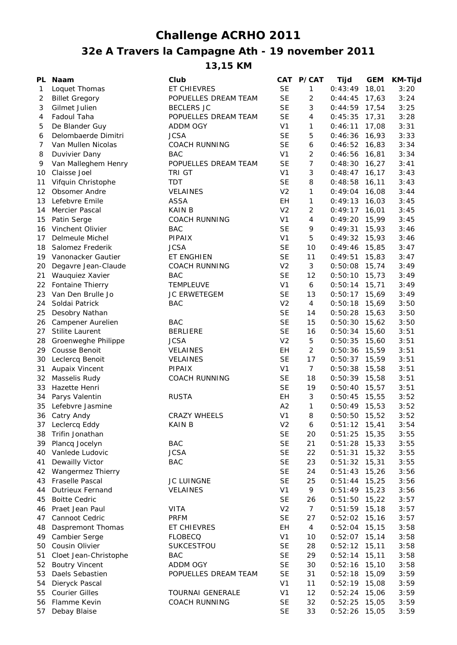## **Challenge ACRHO 2011**

## **32e A Travers la Campagne Ath - 19 november 2011**

**13,15 KM**

| PL           | Naam                    | Club                    |                | CAT P/CAT      | Tijd            | <b>GEM</b> | <b>KM-Tijd</b> |
|--------------|-------------------------|-------------------------|----------------|----------------|-----------------|------------|----------------|
| $\mathbf{1}$ | Loquet Thomas           | ET CHIEVRES             | <b>SE</b>      | 1              | 0:43:49         | 18,01      | 3:20           |
| 2            | <b>Billet Gregory</b>   | POPUELLES DREAM TEAM    | <b>SE</b>      | $\overline{c}$ | 0:44:45         | 17,63      | 3:24           |
| 3            | Gilmet Julien           | <b>BECLERS JC</b>       | <b>SE</b>      | 3              | $0:44:59$ 17,54 |            | 3:25           |
| 4            | Fadoul Taha             | POPUELLES DREAM TEAM    | <b>SE</b>      | 4              | 0:45:35         | 17,31      | 3:28           |
| 5            | De Blander Guy          | ADDM OGY                | V <sub>1</sub> | 1              | 0:46:11         | 17,08      | 3:31           |
| 6            | Delombaerde Dimitri     | <b>JCSA</b>             | <b>SE</b>      | 5              | $0:46:36$ 16,93 |            | 3:33           |
| 7            | Van Mullen Nicolas      | <b>COACH RUNNING</b>    | <b>SE</b>      | 6              | $0:46:52$ 16,83 |            | 3:34           |
| 8            | Duvivier Dany           | <b>BAC</b>              | V <sub>1</sub> | $\overline{2}$ | $0:46:56$ 16,81 |            | 3:34           |
| 9            | Van Malleghem Henry     | POPUELLES DREAM TEAM    | <b>SE</b>      | $\overline{7}$ | $0:48:30$ 16,27 |            | 3:41           |
|              |                         | TRI GT                  | V <sub>1</sub> | 3              |                 |            |                |
| 10           | Claisse Joel            |                         |                |                | $0:48:47$ 16,17 |            | 3:43           |
| 11           | Vifquin Christophe      | TDT                     | <b>SE</b>      | 8              | 0:48:58         | 16,11      | 3:43           |
| 12           | Obsomer Andre           | <b>VELAINES</b>         | V <sub>2</sub> | 1              | 0:49:04         | 16,08      | 3:44           |
| 13           | Lefebvre Emile          | <b>ASSA</b>             | EH             | 1              | 0:49:13         | 16,03      | 3:45           |
| 14           | Mercier Pascal          | <b>KAIN B</b>           | V <sub>2</sub> | $\overline{2}$ | 0:49:17         | 16,01      | 3:45           |
| 15           | Patin Serge             | <b>COACH RUNNING</b>    | V <sub>1</sub> | $\overline{4}$ | 0:49:20         | 15,99      | 3:45           |
| 16           | Vinchent Olivier        | <b>BAC</b>              | <b>SE</b>      | 9              | 0:49:31         | 15,93      | 3:46           |
| 17           | Delmeule Michel         | PIPAIX                  | V <sub>1</sub> | 5              | 0:49:32         | 15,93      | 3:46           |
| 18           | Salomez Frederik        | <b>JCSA</b>             | <b>SE</b>      | 10             | 0:49:46         | 15,85      | 3:47           |
|              | 19 Vanonacker Gautier   | ET ENGHIEN              | <b>SE</b>      | 11             | 0:49:51         | 15,83      | 3:47           |
| 20           | Degavre Jean-Claude     | <b>COACH RUNNING</b>    | V <sub>2</sub> | 3              | 0:50:08         | 15,74      | 3:49           |
| 21           | Wauquiez Xavier         | <b>BAC</b>              | <b>SE</b>      | 12             | 0:50:10         | 15,73      | 3:49           |
| 22           | Fontaine Thierry        | <b>TEMPLEUVE</b>        | V <sub>1</sub> | 6              | 0:50:14         | 15,71      | 3:49           |
| 23           | Van Den Brulle Jo       | <b>JC ERWETEGEM</b>     | <b>SE</b>      | 13             | 0:50:17         | 15,69      | 3:49           |
| 24           | Soldai Patrick          | <b>BAC</b>              | V <sub>2</sub> | 4              | 0:50:18         | 15,69      | 3:50           |
| 25           | Desobry Nathan          |                         | <b>SE</b>      | 14             | $0:50:28$ 15,63 |            | 3:50           |
| 26           | Campener Aurelien       | <b>BAC</b>              | <b>SE</b>      | 15             | 0:50:30         | 15,62      | 3:50           |
| 27           | <b>Stilite Laurent</b>  | <b>BERLIERE</b>         | <b>SE</b>      | 16             | 0:50:34         | 15,60      | 3:51           |
|              |                         | <b>JCSA</b>             | V <sub>2</sub> | 5              |                 |            |                |
| 28           | Groenweghe Philippe     |                         |                | 2              | 0:50:35         | 15,60      | 3:51           |
| 29           | <b>Cousse Benoit</b>    | <b>VELAINES</b>         | EH             |                | 0:50:36         | 15,59      | 3:51           |
| 30           | Leclercq Benoit         | <b>VELAINES</b>         | <b>SE</b>      | 17             | $0:50:37$ 15,59 |            | 3:51           |
| 31           | Aupaix Vincent          | PIPAIX                  | V <sub>1</sub> | $\overline{7}$ | $0:50:38$ 15,58 |            | 3:51           |
| 32           | Masselis Rudy           | <b>COACH RUNNING</b>    | <b>SE</b>      | 18             | $0:50:39$ 15,58 |            | 3:51           |
| 33           | Hazette Henri           |                         | <b>SE</b>      | 19             | $0:50:40$ 15,57 |            | 3:51           |
| 34           | Parys Valentin          | <b>RUSTA</b>            | EH             | 3              | $0:50:45$ 15,55 |            | 3:52           |
| 35           | Lefebvre Jasmine        |                         | A <sub>2</sub> | 1              | $0:50:49$ 15,53 |            | 3:52           |
|              | 36 Catry Andy           | <b>CRAZY WHEELS</b>     | V <sub>1</sub> | 8              | 0:50:50         | 15,52      | 3:52           |
| 37           | Leclercq Eddy           | <b>KAIN B</b>           | V <sub>2</sub> | 6              | $0:51:12$ 15,41 |            | 3:54           |
| 38           | Trifin Jonathan         |                         | <b>SE</b>      | 20             | 0:51:25         | 15,35      | 3:55           |
| 39           | Plancq Jocelyn          | <b>BAC</b>              | <b>SE</b>      | 21             | 0:51:28         | 15,33      | 3:55           |
| 40           | Vanlede Ludovic         | <b>JCSA</b>             | <b>SE</b>      | 22             | 0:51:31         | 15,32      | 3:55           |
| 41           | Dewailly Victor         | <b>BAC</b>              | <b>SE</b>      | 23             | 0:51:32         | 15,31      | 3:55           |
| 42           | Wangermez Thierry       |                         | <b>SE</b>      | 24             | 0:51:43         | 15,26      | 3:56           |
| 43           | <b>Fraselle Pascal</b>  | <b>JC LUINGNE</b>       | <b>SE</b>      | 25             | 0:51:44         | 15,25      | 3:56           |
| 44           | <b>Dutrieux Fernand</b> | VELAINES                | V <sub>1</sub> | 9              | $0:51:49$ 15,23 |            | 3:56           |
| 45           | <b>Boitte Cedric</b>    |                         | <b>SE</b>      | 26             | 0:51:50         | 15,22      | 3:57           |
| 46           | Praet Jean Paul         | <b>VITA</b>             | V <sub>2</sub> | $\overline{7}$ | $0:51:59$ 15,18 |            | 3:57           |
| 47           | Cannoot Cedric          | <b>PRFM</b>             | <b>SE</b>      | 27             | 0:52:02         | 15,16      | 3:57           |
| 48           | Daspremont Thomas       | ET CHIEVRES             | EH             | 4              | 0:52:04         | 15,15      | 3:58           |
| 49           | Cambier Serge           | <b>FLOBECQ</b>          | V <sub>1</sub> | 10             | 0:52:07         | 15,14      | 3:58           |
| 50           | Cousin Olivier          | SUKCESTFOU              | <b>SE</b>      | 28             | 0:52:12         | 15,11      | 3:58           |
|              |                         |                         |                |                |                 |            |                |
| 51           | Cloet Jean-Christophe   | <b>BAC</b>              | <b>SE</b>      | 29             | 0:52:14         | 15,11      | 3:58           |
| 52           | <b>Boutry Vincent</b>   | ADDM OGY                | <b>SE</b>      | 30             | 0:52:16         | 15,10      | 3:58           |
| 53           | Daels Sebastien         | POPUELLES DREAM TEAM    | <b>SE</b>      | 31             | 0:52:18         | 15,09      | 3:59           |
| 54           | Dieryck Pascal          |                         | V <sub>1</sub> | 11             | 0:52:19         | 15,08      | 3:59           |
| 55           | <b>Courier Gilles</b>   | <b>TOURNAI GENERALE</b> | V <sub>1</sub> | 12             | 0:52:24         | 15,06      | 3:59           |
| 56           | Flamme Kevin            | <b>COACH RUNNING</b>    | <b>SE</b>      | 32             | 0:52:25         | 15,05      | 3:59           |
| 57           | Debay Blaise            |                         | <b>SE</b>      | 33             | $0:52:26$ 15,05 |            | 3:59           |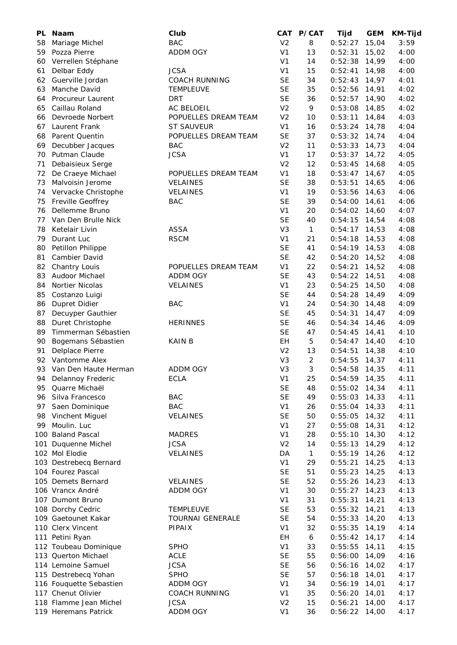| PL. | <b>Naam</b>             | Club                    | <b>CAT</b>     | <b>P/CAT</b>   | Tijd            | <b>GEM</b> | <b>KM-Tijd</b> |
|-----|-------------------------|-------------------------|----------------|----------------|-----------------|------------|----------------|
| 58  | Mariage Michel          | <b>BAC</b>              | V <sub>2</sub> | 8              | 0:52:27         | 15,04      | 3:59           |
| 59  | Pozza Pierre            | ADDM OGY                | V <sub>1</sub> | 13             | 0:52:31         | 15,02      | 4:00           |
| 60  | Verrellen Stéphane      |                         | V <sub>1</sub> | 14             | 0:52:38         | 14,99      | 4:00           |
| 61  | Delbar Eddy             | <b>JCSA</b>             | V <sub>1</sub> | 15             | 0:52:41         | 14,98      | 4:00           |
| 62  | Guerville Jordan        | <b>COACH RUNNING</b>    | <b>SE</b>      | 34             | 0:52:43         | 14,97      | 4:01           |
| 63  | Manche David            | TEMPLEUVE               | <b>SE</b>      | 35             | 0:52:56         | 14,91      | 4:02           |
| 64  | Procureur Laurent       | <b>DRT</b>              | <b>SE</b>      | 36             | 0:52:57         | 14,90      | 4:02           |
| 65  | Caillau Roland          | AC BELOEIL              | V <sub>2</sub> | 9              | 0:53:08         | 14,85      | 4:02           |
| 66  | Devroede Norbert        | POPUELLES DREAM TEAM    | V <sub>2</sub> | 10             | 0:53:11         | 14,84      | 4:03           |
| 67  | Laurent Frank           | <b>ST SAUVEUR</b>       | V <sub>1</sub> | 16             | 0:53:24         | 14,78      | 4:04           |
| 68  | Parent Quentin          | POPUELLES DREAM TEAM    | <b>SE</b>      | 37             | 0:53:32         | 14,74      | 4:04           |
| 69  | Decubber Jacques        | <b>BAC</b>              | V <sub>2</sub> | 11             | 0:53:33         | 14,73      | 4:04           |
| 70  | Putman Claude           | <b>JCSA</b>             | V <sub>1</sub> | 17             | 0:53:37         | 14,72      | 4:05           |
| 71  | Debaisieux Serge        |                         | V <sub>2</sub> | 12             | 0:53:45         | 14,68      | 4:05           |
| 72  | De Craeye Michael       | POPUELLES DREAM TEAM    | V <sub>1</sub> | 18             | 0:53:47         | 14,67      | 4:05           |
| 73  | Malvoisin Jerome        | <b>VELAINES</b>         | <b>SE</b>      | 38             | 0:53:51         | 14,65      | 4:06           |
| 74  | Vervacke Christophe     | <b>VELAINES</b>         | V <sub>1</sub> | 19             | 0:53:56         | 14,63      | 4:06           |
| 75  | Freville Geoffrey       | BAC                     | <b>SE</b>      | 39             | $0:54:00$ 14,61 |            | 4:06           |
| 76  | Dellemme Bruno          |                         | V <sub>1</sub> | 20             | $0:54:02$ 14,60 |            | 4:07           |
| 77  | Van Den Brulle Nick     |                         | <b>SE</b>      | 40             | 0:54:15         | 14,54      | 4:08           |
| 78  | Ketelair Livin          | <b>ASSA</b>             | V <sub>3</sub> | $\mathbf{1}$   | 0:54:17         | 14,53      | 4:08           |
| 79  | Durant Luc              | <b>RSCM</b>             | V <sub>1</sub> | 21             | 0:54:18         | 14,53      | 4:08           |
| 80  | Petillon Philippe       |                         | <b>SE</b>      | 41             | $0:54:19$ 14,53 |            | 4:08           |
| 81  | Cambier David           |                         | <b>SE</b>      | 42             | $0:54:20$ 14,52 |            | 4:08           |
| 82  | Chantry Louis           | POPUELLES DREAM TEAM    | V <sub>1</sub> | 22             | 0:54:21         | 14,52      | 4:08           |
| 83  | Audoor Michael          | ADDM OGY                | <b>SE</b>      | 43             | 0:54:22         | 14,51      | 4:08           |
| 84  | Nortier Nicolas         | VELAINES                | V <sub>1</sub> | 23             | 0:54:25         | 14,50      | 4:08           |
| 85  | Costanzo Luigi          |                         | <b>SE</b>      | 44             | 0:54:28         | 14,49      | 4:09           |
| 86  | Dupret Didier           | <b>BAC</b>              | V <sub>1</sub> | 24             | $0:54:30$ 14,48 |            | 4:09           |
| 87  | Decuyper Gauthier       |                         | <b>SE</b>      | 45             | 0:54:31         | 14,47      | 4:09           |
| 88  | Duret Christophe        | <b>HERINNES</b>         | <b>SE</b>      | 46             | $0:54:34$ 14,46 |            | 4:09           |
| 89  | Timmerman Sébastien     |                         | <b>SE</b>      | 47             | 0:54:45         | 14,41      | 4:10           |
| 90  | Bogemans Sébastien      | <b>KAIN B</b>           | EH             | $\mathbf 5$    | $0:54:47$ 14,40 |            | 4:10           |
| 91  | Delplace Pierre         |                         | V <sub>2</sub> | 13             | 0:54:51         | 14,38      | 4:10           |
| 92  | Vantomme Alex           |                         | V <sub>3</sub> | $\overline{2}$ | 0:54:55         | 14,37      | 4:11           |
| 93  | Van Den Haute Herman    | <b>ADDM OGY</b>         | V <sub>3</sub> | 3              | 0:54:58         | 14,35      | 4:11           |
| 94  | Delannoy Frederic       | <b>ECLA</b>             | V <sub>1</sub> | 25             | $0:54:59$ 14,35 |            | 4:11           |
| 95  | Quarre Michaël          |                         | <b>SE</b>      | 48             | $0:55:02$ 14,34 |            | 4:11           |
| 96  | Silva Francesco         | BAC                     | <b>SE</b>      | 49             | 0:55:03         | 14,33      | 4:11           |
| 97  | Saen Dominique          | <b>BAC</b>              | V <sub>1</sub> | 26             | $0:55:04$ 14,33 |            | 4:11           |
| 98  | Vinchent Miguel         | VELAINES                | <b>SE</b>      | 50             | 0:55:05         | 14,32      | 4:11           |
| 99  | Moulin. Luc             |                         | V <sub>1</sub> | 27             | 0:55:08         | 14,31      | 4:12           |
|     | 100 Baland Pascal       | <b>MADRES</b>           | V <sub>1</sub> | 28             | 0:55:10         | 14,30      | 4:12           |
|     | 101 Duquenne Michel     | <b>JCSA</b>             | V <sub>2</sub> | 14             | 0:55:13         | 14,29      | 4:12           |
|     | 102 Mol Elodie          | VELAINES                | DA             | $\mathbf{1}$   | $0:55:19$ 14,26 |            | 4:12           |
|     | 103 Destrebecq Bernard  |                         | V <sub>1</sub> | 29             | 0:55:21         | 14,25      | 4:13           |
|     | 104 Fourez Pascal       |                         | <b>SE</b>      | 51             | 0:55:23         | 14,25      | 4:13           |
|     | 105 Demets Bernard      | VELAINES                | <b>SE</b>      | 52             | 0:55:26         | 14,23      | 4:13           |
|     | 106 Vrancx André        | ADDM OGY                | V <sub>1</sub> | 30             | $0:55:27$ 14,23 |            | 4:13           |
|     | 107 Dumont Bruno        |                         | V <sub>1</sub> | 31             | 0:55:31         | 14,21      | 4:13           |
|     | 108 Dorchy Cedric       | TEMPLEUVE               | <b>SE</b>      | 53             | $0:55:32$ 14,21 |            | 4:13           |
|     | 109 Gaetounet Kakar     | <b>TOURNAI GENERALE</b> | <b>SE</b>      | 54             | 0:55:33         | 14,20      | 4:13           |
|     | 110 Clerx Vincent       | <b>PIPAIX</b>           | V <sub>1</sub> | 32             | 0:55:35         | 14,19      | 4:14           |
|     | 111 Petini Ryan         |                         | EH             | 6              | $0:55:42$ 14,17 |            | 4:14           |
|     | 112 Toubeau Dominique   | <b>SPHO</b>             | V <sub>1</sub> | 33             | 0:55:55         | 14,11      | 4:15           |
|     | 113 Querton Michael     | <b>ACLE</b>             | <b>SE</b>      | 55             | 0:56:00         | 14,09      | 4:16           |
|     | 114 Lemoine Samuel      | <b>JCSA</b>             | <b>SE</b>      | 56             | 0:56:16         | 14,02      | 4:17           |
|     | 115 Destrebecq Yohan    | <b>SPHO</b>             | <b>SE</b>      | 57             | 0:56:18         | 14,01      | 4:17           |
|     | 116 Fouquette Sebastien | ADDM OGY                | V <sub>1</sub> | 34             | $0:56:19$ 14,01 |            | 4:17           |
|     | 117 Chenut Olivier      | <b>COACH RUNNING</b>    | V <sub>1</sub> | 35             | 0:56:20         | 14,01      | 4:17           |
|     | 118 Flamme Jean Michel  | <b>JCSA</b>             | V <sub>2</sub> | 15             | 0:56:21         | 14,00      | 4:17           |
|     | 119 Heremans Patrick    | ADDM OGY                | V <sub>1</sub> | 36             | $0:56:22$ 14,00 |            | 4:17           |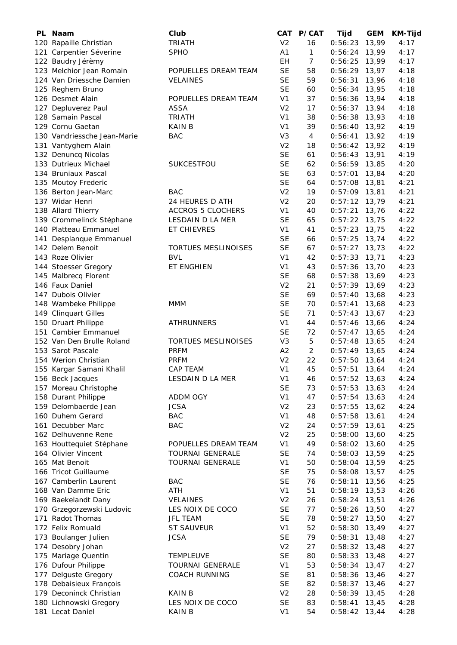| PL. | Naam                        | Club                       | <b>CAT</b>     | P/CAT          | Tijd            | <b>GEM</b> | KM-Tijd |
|-----|-----------------------------|----------------------------|----------------|----------------|-----------------|------------|---------|
|     | 120 Rapaille Christian      | <b>TRIATH</b>              | V <sub>2</sub> | 16             | 0:56:23         | 13,99      | 4:17    |
|     | 121 Carpentier Séverine     | <b>SPHO</b>                | A1             | $\mathbf{1}$   | 0:56:24         | 13,99      | 4:17    |
|     | 122 Baudry Jérèmy           |                            | EH             | $\overline{7}$ | 0:56:25         | 13,99      | 4:17    |
|     | 123 Melchior Jean Romain    | POPUELLES DREAM TEAM       | <b>SE</b>      | 58             | 0:56:29         | 13,97      | 4:18    |
|     | 124 Van Driessche Damien    | <b>VELAINES</b>            | <b>SE</b>      | 59             | 0:56:31         | 13,96      | 4:18    |
|     |                             |                            | <b>SE</b>      | 60             | 0:56:34         | 13,95      | 4:18    |
|     | 125 Reghem Bruno            |                            |                | 37             |                 |            |         |
|     | 126 Desmet Alain            | POPUELLES DREAM TEAM       | V <sub>1</sub> |                | 0:56:36         | 13,94      | 4:18    |
|     | 127 Depluverez Paul         | <b>ASSA</b>                | V <sub>2</sub> | 17             | 0:56:37         | 13,94      | 4:18    |
|     | 128 Samain Pascal           | <b>TRIATH</b>              | V <sub>1</sub> | 38             | 0:56:38         | 13,93      | 4:18    |
|     | 129 Cornu Gaetan            | <b>KAIN B</b>              | V <sub>1</sub> | 39             | 0:56:40         | 13,92      | 4:19    |
|     | 130 Vandriessche Jean-Marie | <b>BAC</b>                 | V <sub>3</sub> | $\overline{4}$ | 0:56:41         | 13,92      | 4:19    |
|     | 131 Vantyghem Alain         |                            | V <sub>2</sub> | 18             | 0:56:42         | 13,92      | 4:19    |
|     | 132 Denuncq Nicolas         |                            | <b>SE</b>      | 61             | 0:56:43         | 13,91      | 4:19    |
|     | 133 Dutrieux Michael        | SUKCESTFOU                 | <b>SE</b>      | 62             | 0:56:59         | 13,85      | 4:20    |
|     | 134 Bruniaux Pascal         |                            | <b>SE</b>      | 63             | 0:57:01         | 13,84      | 4:20    |
|     | 135 Moutoy Frederic         |                            | <b>SE</b>      | 64             | 0:57:08         | 13,81      | 4:21    |
|     | 136 Berton Jean-Marc        | BAC                        | V <sub>2</sub> | 19             | 0:57:09         | 13,81      | 4:21    |
|     | 137 Widar Henri             | 24 HEURES D ATH            | V <sub>2</sub> | 20             | 0:57:12         | 13,79      | 4:21    |
|     | 138 Allard Thierry          | <b>ACCROS 5 CLOCHERS</b>   | V <sub>1</sub> | 40             | 0:57:21         | 13,76      | 4:22    |
|     | 139 Crommelinck Stéphane    | LESDAIN D LA MER           | SE             | 65             | 0:57:22         | 13,75      | 4:22    |
|     | 140 Platteau Emmanuel       | ET CHIEVRES                | V <sub>1</sub> | 41             | 0:57:23         | 13,75      | 4:22    |
|     |                             |                            |                | 66             | 0:57:25         |            | 4:22    |
|     | 141 Desplanque Emmanuel     |                            | SE             |                |                 | 13,74      |         |
|     | 142 Delem Benoit            | <b>TORTUES MESLINOISES</b> | <b>SE</b>      | 67             | 0:57:27         | 13,73      | 4:22    |
|     | 143 Roze Olivier            | <b>BVL</b>                 | V <sub>1</sub> | 42             | 0:57:33         | 13,71      | 4:23    |
|     | 144 Stoesser Gregory        | ET ENGHIEN                 | V1             | 43             | 0:57:36         | 13,70      | 4:23    |
|     | 145 Malbrecq Florent        |                            | <b>SE</b>      | 68             | 0:57:38         | 13,69      | 4:23    |
|     | 146 Faux Daniel             |                            | V <sub>2</sub> | 21             | 0:57:39         | 13,69      | 4:23    |
|     | 147 Dubois Olivier          |                            | <b>SE</b>      | 69             | 0:57:40         | 13,68      | 4:23    |
|     | 148 Wambeke Philippe        | <b>MMM</b>                 | <b>SE</b>      | 70             | 0:57:41         | 13,68      | 4:23    |
|     | 149 Clinquart Gilles        |                            | <b>SE</b>      | 71             | 0:57:43         | 13,67      | 4:23    |
|     | 150 Druart Philippe         | <b>ATHRUNNERS</b>          | V <sub>1</sub> | 44             | 0:57:46         | 13,66      | 4:24    |
|     | 151 Cambier Emmanuel        |                            | <b>SE</b>      | 72             | 0:57:47         | 13,65      | 4:24    |
|     | 152 Van Den Brulle Roland   | TORTUES MESLINOISES        | V <sub>3</sub> | 5              | 0:57:48         | 13,65      | 4:24    |
|     | 153 Sarot Pascale           | <b>PRFM</b>                | A2             | $\overline{2}$ | 0:57:49         | 13,65      | 4:24    |
|     | 154 Werion Christian        | <b>PRFM</b>                | V <sub>2</sub> | 22             | 0:57:50         | 13,64      | 4:24    |
|     | 155 Kargar Samani Khalil    | <b>CAP TEAM</b>            | V <sub>1</sub> | 45             | 0:57:51         | 13,64      | 4:24    |
|     |                             | LESDAIN D LA MER           | V <sub>1</sub> | 46             | $0:57:52$ 13,63 |            | 4:24    |
|     | 156 Beck Jacques            |                            | <b>SE</b>      |                |                 |            |         |
|     | 157 Moreau Christophe       |                            |                | 73             | 0:57:53         | 13,63      | 4:24    |
|     | 158 Durant Philippe         | ADDM OGY                   | V <sub>1</sub> | 47             | 0:57:54         | 13,63      | 4:24    |
|     | 159 Delombaerde Jean        | <b>JCSA</b>                | V <sub>2</sub> | 23             | 0:57:55         | 13,62      | 4:24    |
|     | 160 Duhem Gerard            | <b>BAC</b>                 | V <sub>1</sub> | 48             | 0:57:58         | 13,61      | 4:24    |
|     | 161 Decubber Marc           | <b>BAC</b>                 | V <sub>2</sub> | 24             | 0:57:59         | 13,61      | 4:25    |
|     | 162 Delhuvenne Rene         |                            | V <sub>2</sub> | 25             | 0:58:00         | 13,60      | 4:25    |
|     | 163 Houttequiet Stéphane    | POPUELLES DREAM TEAM       | V <sub>1</sub> | 49             | 0:58:02         | 13,60      | 4:25    |
|     | 164 Olivier Vincent         | <b>TOURNAI GENERALE</b>    | <b>SE</b>      | 74             | 0:58:03         | 13,59      | 4:25    |
|     | 165 Mat Benoit              | <b>TOURNAI GENERALE</b>    | V <sub>1</sub> | 50             | 0:58:04         | 13,59      | 4:25    |
|     | 166 Tricot Guillaume        |                            | <b>SE</b>      | 75             | 0:58:08         | 13,57      | 4:25    |
|     | 167 Camberlin Laurent       | <b>BAC</b>                 | <b>SE</b>      | 76             | 0:58:11         | 13,56      | 4:25    |
|     | 168 Van Damme Eric          | ATH                        | V <sub>1</sub> | 51             | 0:58:19         | 13,53      | 4:26    |
|     | 169 Baekelandt Dany         | <b>VELAINES</b>            | V <sub>2</sub> | 26             | 0:58:24         | 13,51      | 4:26    |
|     | 170 Grzegorzewski Ludovic   | LES NOIX DE COCO           | <b>SE</b>      | 77             | 0:58:26         | 13,50      | 4:27    |
|     | 171 Radot Thomas            | JFL TEAM                   | <b>SE</b>      | 78             | 0:58:27         | 13,50      | 4:27    |
|     | 172 Felix Romuald           |                            | V <sub>1</sub> | 52             |                 |            |         |
|     |                             | ST SAUVEUR                 |                |                | 0:58:30         | 13,49      | 4:27    |
|     | 173 Boulanger Julien        | <b>JCSA</b>                | <b>SE</b>      | 79             | 0:58:31         | 13,48      | 4:27    |
|     | 174 Desobry Johan           |                            | V <sub>2</sub> | 27             | 0:58:32         | 13,48      | 4:27    |
|     | 175 Mariage Quentin         | <b>TEMPLEUVE</b>           | <b>SE</b>      | 80             | 0:58:33         | 13,48      | 4:27    |
|     | 176 Dufour Philippe         | <b>TOURNAI GENERALE</b>    | V <sub>1</sub> | 53             | 0:58:34         | 13,47      | 4:27    |
| 177 | Delguste Gregory            | <b>COACH RUNNING</b>       | <b>SE</b>      | 81             | 0:58:36         | 13,46      | 4:27    |
|     | 178 Debaisieux François     |                            | <b>SE</b>      | 82             | 0:58:37         | 13,46      | 4:27    |
|     | 179 Deconinck Christian     | <b>KAIN B</b>              | V <sub>2</sub> | 28             | 0:58:39         | 13,45      | 4:28    |
|     | 180 Lichnowski Gregory      | LES NOIX DE COCO           | <b>SE</b>      | 83             | 0:58:41         | 13,45      | 4:28    |
|     | 181 Lecat Daniel            | <b>KAIN B</b>              | V <sub>1</sub> | 54             | 0:58:42         | 13,44      | 4:28    |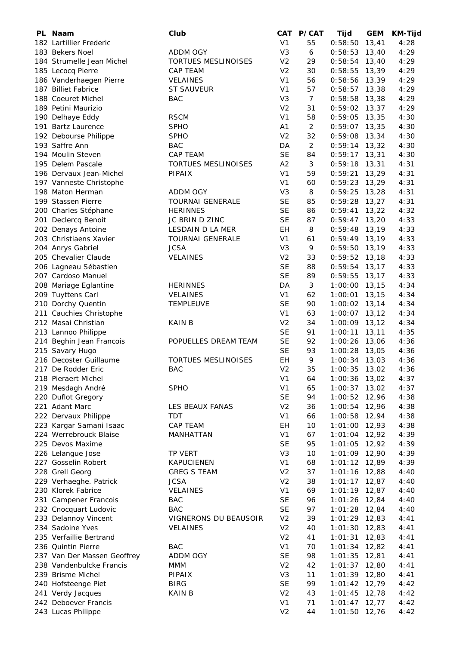| PL Naam                     | Club                       | CAT            | <b>P/CAT</b>   | Tijd            | <b>GEM</b> | KM-Tijd |
|-----------------------------|----------------------------|----------------|----------------|-----------------|------------|---------|
| 182 Lartillier Frederic     |                            | V <sub>1</sub> | 55             | 0:58:50         | 13,41      | 4:28    |
| 183 Bekers Noel             | <b>ADDM OGY</b>            | V <sub>3</sub> | 6              | 0:58:53         | 13,40      | 4:29    |
| 184 Strumelle Jean Michel   | TORTUES MESLINOISES        | V <sub>2</sub> | 29             | 0:58:54         | 13,40      | 4:29    |
| 185 Lecocq Pierre           | <b>CAP TEAM</b>            | V <sub>2</sub> | 30             | 0:58:55         | 13,39      | 4:29    |
| 186 Vanderhaegen Pierre     | <b>VELAINES</b>            | V <sub>1</sub> | 56             | 0:58:56         | 13,39      | 4:29    |
| 187 Billiet Fabrice         | <b>ST SAUVEUR</b>          | V <sub>1</sub> | 57             | 0:58:57         | 13,38      | 4:29    |
| 188 Coeuret Michel          | <b>BAC</b>                 | V <sub>3</sub> | $\overline{7}$ | 0:58:58         | 13,38      | 4:29    |
| 189 Petini Maurizio         |                            | V <sub>2</sub> | 31             | 0:59:02         | 13,37      | 4:29    |
| 190 Delhaye Eddy            | <b>RSCM</b>                | V <sub>1</sub> | 58             | 0:59:05         | 13,35      | 4:30    |
| 191 Bartz Laurence          | <b>SPHO</b>                | A <sub>1</sub> | $\overline{2}$ | 0:59:07         | 13,35      | 4:30    |
| 192 Debourse Philippe       | <b>SPHO</b>                | V <sub>2</sub> | 32             | 0:59:08         | 13,34      | 4:30    |
| 193 Saffre Ann              | <b>BAC</b>                 | DA             | 2              | 0:59:14         | 13,32      | 4:30    |
| 194 Moulin Steven           | CAP TEAM                   | <b>SE</b>      | 84             | 0:59:17         | 13,31      | 4:30    |
| 195 Delem Pascale           | TORTUES MESLINOISES        | A <sub>2</sub> | 3              | 0:59:18         | 13,31      | 4:31    |
| 196 Dervaux Jean-Michel     | PIPAIX                     | V <sub>1</sub> | 59             | 0:59:21         | 13,29      | 4:31    |
| 197 Vanneste Christophe     |                            | V <sub>1</sub> | 60             | 0:59:23         | 13,29      | 4:31    |
| 198 Maton Herman            | <b>ADDM OGY</b>            | V <sub>3</sub> | 8              | 0:59:25         | 13,28      | 4:31    |
| 199 Stassen Pierre          | <b>TOURNAI GENERALE</b>    | <b>SE</b>      | 85             | 0:59:28         | 13,27      | 4:31    |
| 200 Charles Stéphane        | <b>HERINNES</b>            | <b>SE</b>      | 86             | 0:59:41         | 13,22      | 4:32    |
| 201 Declercq Benoit         | JC BRIN D ZINC             | <b>SE</b>      | 87             | 0:59:47         | 13,20      | 4:33    |
| 202 Denays Antoine          | LESDAIN D LA MER           | EН             | 8              | 0:59:48         | 13,19      | 4:33    |
| 203 Christiaens Xavier      | <b>TOURNAI GENERALE</b>    | V <sub>1</sub> | 61             | 0:59:49         | 13,19      | 4:33    |
| 204 Anrys Gabriel           | <b>JCSA</b>                | V <sub>3</sub> | 9              | 0:59:50         | 13,19      | 4:33    |
| 205 Chevalier Claude        | <b>VELAINES</b>            | V <sub>2</sub> | 33             | 0:59:52         | 13,18      | 4:33    |
| 206 Lagneau Sébastien       |                            | <b>SE</b>      | 88             | 0:59:54         | 13,17      | 4:33    |
| 207 Cardoso Manuel          |                            | <b>SE</b>      | 89             | 0:59:55         | 13,17      | 4:33    |
| 208 Mariage Eglantine       | <b>HERINNES</b>            | DA             | $\mathfrak{Z}$ | 1:00:00         | 13,15      | 4:34    |
| 209 Tuyttens Carl           | <b>VELAINES</b>            | V <sub>1</sub> | 62             | 1:00:01         | 13,15      | 4:34    |
| 210 Dorchy Quentin          | <b>TEMPLEUVE</b>           | <b>SE</b>      | 90             | 1:00:02 13,14   |            | 4:34    |
| 211 Cauchies Christophe     |                            | V <sub>1</sub> | 63             | 1:00:07         | 13,12      | 4:34    |
| 212 Masai Christian         | <b>KAIN B</b>              | V <sub>2</sub> | 34             | 1:00:09         | 13,12      | 4:34    |
| 213 Lannoo Philippe         |                            | <b>SE</b>      | 91             | 1:00:11         | 13,11      | 4:35    |
| 214 Beghin Jean Francois    | POPUELLES DREAM TEAM       | <b>SE</b>      | 92             | 1:00:26         | 13,06      | 4:36    |
| 215 Savary Hugo             |                            | <b>SE</b>      | 93             | 1:00:28         | 13,05      | 4:36    |
| 216 Decoster Guillaume      | <b>TORTUES MESLINOISES</b> | EΗ             | 9              | 1:00:34         | 13,03      | 4:36    |
| 217 De Rodder Eric          | <b>BAC</b>                 | V <sub>2</sub> | 35             | 1:00:35         | 13,02      | 4:36    |
| 218 Pieraert Michel         |                            | V <sub>1</sub> | 64             | 1:00:36         | 13,02      | 4:37    |
| 219 Mesdagh André           | <b>SPHO</b>                | V <sub>1</sub> | 65             | 1:00:37         | 13,02      | 4:37    |
| 220 Duflot Gregory          |                            | <b>SE</b>      | 94             | 1:00:52         | 12,96      | 4:38    |
| 221 Adant Marc              | LES BEAUX FANAS            | V <sub>2</sub> | 36             | 1:00:54         | 12,96      | 4:38    |
| 222 Dervaux Philippe        | <b>TDT</b>                 | V <sub>1</sub> | 66             | 1:00:58         | 12,94      | 4:38    |
| 223 Kargar Samani Isaac     | CAP TEAM                   | EH             | 10             | 1:01:00         | 12,93      | 4:38    |
| 224 Werrebrouck Blaise      | MANHATTAN                  | V <sub>1</sub> | 67             | 1:01:04         | 12,92      | 4:39    |
| 225 Devos Maxime            |                            | <b>SE</b>      | 95             | 1:01:05         | 12,92      | 4:39    |
| 226 Lelangue Jose           | TP VERT                    | V <sub>3</sub> | 10             | 1:01:09         | 12,90      | 4:39    |
| 227 Gosselin Robert         | <b>KAPUCIENEN</b>          | V <sub>1</sub> | 68             | 1:01:12         | 12,89      | 4:39    |
| 228 Grell Georg             | <b>GREG S TEAM</b>         | V <sub>2</sub> | 37             | 1:01:16         | 12,88      | 4:40    |
| 229 Verhaeghe. Patrick      | <b>JCSA</b>                | V <sub>2</sub> | 38             | 1:01:17         | 12,87      | 4:40    |
| 230 Klorek Fabrice          | VELAINES                   | V <sub>1</sub> | 69             | 1:01:19         | 12,87      | 4:40    |
| 231 Campener Francois       | <b>BAC</b>                 | <b>SE</b>      | 96             | 1:01:26         | 12,84      | 4:40    |
| 232 Cnocquart Ludovic       | <b>BAC</b>                 | <b>SE</b>      | 97             | 1:01:28         | 12,84      | 4:40    |
| 233 Delannoy Vincent        | VIGNERONS DU BEAUSOIR      | V <sub>2</sub> | 39             | 1:01:29         | 12,83      | 4:41    |
| 234 Sadoine Yves            | <b>VELAINES</b>            | V <sub>2</sub> | 40             | 1:01:30         | 12,83      | 4:41    |
| 235 Verfaillie Bertrand     |                            | V <sub>2</sub> | 41             | 1:01:31         | 12,83      | 4:41    |
| 236 Quintin Pierre          | <b>BAC</b>                 | V <sub>1</sub> | 70             | 1:01:34         | 12,82      | 4:41    |
| 237 Van Der Massen Geoffrey | ADDM OGY                   | <b>SE</b>      | 98             | 1:01:35         | 12,81      | 4:41    |
| 238 Vandenbulcke Francis    | MMM                        | V <sub>2</sub> | 42             | 1:01:37         | 12,80      | 4:41    |
| 239 Brisme Michel           | <b>PIPAIX</b>              | V <sub>3</sub> | 11             | 1:01:39         | 12,80      | 4:41    |
| 240 Hofsteenge Piet         | <b>BIRG</b>                | <b>SE</b>      | 99             | 1:01:42 12,79   |            | 4:42    |
| 241 Verdy Jacques           | KAIN B                     | V <sub>2</sub> | 43             | 1:01:45         | 12,78      | 4:42    |
| 242 Deboever Francis        |                            | V1             | 71             | $1:01:47$ 12,77 |            | 4:42    |
| 243 Lucas Philippe          |                            | V <sub>2</sub> | 44             | 1:01:50 12,76   |            | 4:42    |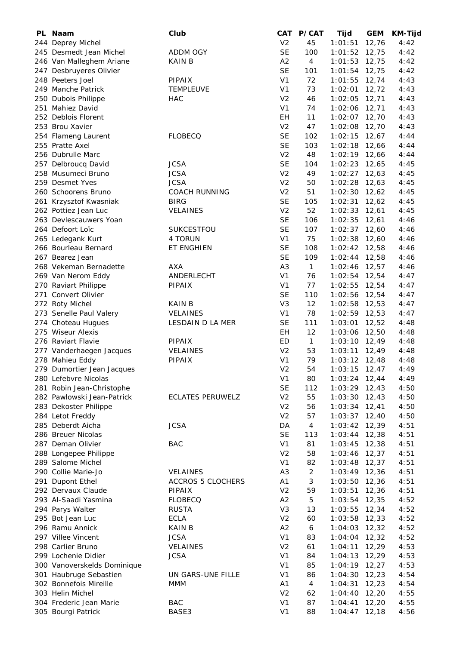| PL Naam                     | Club                     | CAT            | <b>P/CAT</b>     | Tijd              | <b>GEM</b> | <b>KM-Tijd</b> |
|-----------------------------|--------------------------|----------------|------------------|-------------------|------------|----------------|
| 244 Deprey Michel           |                          | V <sub>2</sub> | 45               | 1:01:51           | 12,76      | 4:42           |
| 245 Desmedt Jean Michel     | <b>ADDM OGY</b>          | <b>SE</b>      | 100              | 1:01:52           | 12,75      | 4:42           |
| 246 Van Malleghem Ariane    | <b>KAIN B</b>            | A2             | $\overline{4}$   | 1:01:53           | 12,75      | 4:42           |
| 247 Desbruyeres Olivier     |                          | <b>SE</b>      | 101              | 1:01:54           | 12,75      | 4:42           |
| 248 Peeters Joel            | <b>PIPAIX</b>            | V <sub>1</sub> | 72               | 1:01:55           | 12,74      | 4:43           |
| 249 Manche Patrick          | <b>TEMPLEUVE</b>         | V <sub>1</sub> | 73               | 1:02:01           | 12,72      | 4:43           |
| 250 Dubois Philippe         | <b>HAC</b>               | V <sub>2</sub> | 46               | 1:02:05           | 12,71      | 4:43           |
| 251 Mahiez David            |                          | V <sub>1</sub> | 74               | 1:02:06           | 12,71      | 4:43           |
| 252 Deblois Florent         |                          | EH             | 11               | 1:02:07           | 12,70      | 4:43           |
| 253 Brou Xavier             |                          | V <sub>2</sub> | 47               | 1:02:08           | 12,70      | 4:43           |
| 254 Flameng Laurent         | <b>FLOBECQ</b>           | <b>SE</b>      | 102              | 1:02:15           | 12,67      | 4:44           |
| 255 Pratte Axel             |                          | <b>SE</b>      | 103              | 1:02:18           | 12,66      | 4:44           |
| 256 Dubrulle Marc           |                          | V <sub>2</sub> | 48               | 1:02:19           | 12,66      | 4:44           |
| 257 Delbroucq David         | <b>JCSA</b>              | <b>SE</b>      | 104              | 1:02:23           | 12,65      | 4:45           |
| 258 Musumeci Bruno          | <b>JCSA</b>              | V <sub>2</sub> | 49               | 1:02:27           | 12,63      | 4:45           |
| 259 Desmet Yves             | <b>JCSA</b>              | V <sub>2</sub> | 50               | 1:02:28           | 12,63      | 4:45           |
| 260 Schoorens Bruno         | <b>COACH RUNNING</b>     | V <sub>2</sub> | 51               | $1:02:30$ 12,62   |            | 4:45           |
| 261 Krzysztof Kwasniak      | <b>BIRG</b>              | <b>SE</b>      | 105              | 1:02:31           | 12,62      | 4:45           |
| 262 Pottiez Jean Luc        | <b>VELAINES</b>          | V <sub>2</sub> | 52               | 1:02:33           | 12,61      | 4:45           |
| 263 Devlescauwers Yoan      |                          | <b>SE</b>      | 106              | $1:02:35$ 12,61   |            | 4:46           |
| 264 Defoort Loïc            | SUKCESTFOU               | <b>SE</b>      | 107              | $1:02:37$ 12,60   |            | 4:46           |
| 265 Ledegank Kurt           | 4 TORUN                  | V <sub>1</sub> | 75               | $1:02:38$ 12,60   |            | 4:46           |
| 266 Bourleau Bernard        | ET ENGHIEN               | <b>SE</b>      | 108              | $1:02:42$ 12,58   |            | 4:46           |
| 267 Bearez Jean             |                          | <b>SE</b>      | 109              | $1:02:44$ 12,58   |            | 4:46           |
| 268 Vekeman Bernadette      | <b>AXA</b>               | A <sub>3</sub> | $\mathbf{1}$     | $1:02:46$ 12,57   |            | 4:46           |
| 269 Van Nerom Eddy          | ANDERLECHT               | V <sub>1</sub> | 76               | $1:02:54$ 12,54   |            | 4:47           |
| 270 Raviart Philippe        | <b>PIPAIX</b>            | V <sub>1</sub> | 77               | 1:02:55           | 12,54      | 4:47           |
| 271 Convert Olivier         |                          | <b>SE</b>      | 110              | $1:02:56$ 12,54   |            | 4:47           |
| 272 Roty Michel             | <b>KAIN B</b>            | V <sub>3</sub> | 12               | 1:02:58 12,53     |            | 4:47           |
| 273 Senelle Paul Valery     | <b>VELAINES</b>          | V <sub>1</sub> | 78               | $1:02:59$ 12,53   |            | 4:47           |
| 274 Choteau Hugues          | LESDAIN D LA MER         | <b>SE</b>      | 111              | 1:03:01 12,52     |            | 4:48           |
| 275 Wiseur Alexis           |                          | EH             | 12               | 1:03:06           | 12,50      | 4:48           |
| 276 Raviart Flavie          | PIPAIX                   | ED             | $\mathbf{1}$     | $1:03:10$ $12,49$ |            | 4:48           |
| 277 Vanderhaegen Jacques    | <b>VELAINES</b>          | V <sub>2</sub> | 53               | 1:03:11           | 12,49      | 4:48           |
| 278 Mahieu Eddy             | PIPAIX                   | V <sub>1</sub> | 79               | $1:03:12$ 12,48   |            | 4:48           |
| 279 Dumortier Jean Jacques  |                          | V <sub>2</sub> | 54               | 1:03:15           | 12,47      | 4:49           |
| 280 Lefebvre Nicolas        |                          | V <sub>1</sub> | 80               | 1:03:24           | 12,44      | 4:49           |
| 281 Robin Jean-Christophe   |                          | <b>SE</b>      | 112              | 1:03:29           | 12,43      | 4:50           |
| 282 Pawlowski Jean-Patrick  | <b>ECLATES PERUWELZ</b>  | V <sub>2</sub> | 55               | 1:03:30           | 12,43      | 4:50           |
| 283 Dekoster Philippe       |                          | V <sub>2</sub> | 56               | 1:03:34           | 12,41      | 4:50           |
| 284 Letot Freddy            |                          | V <sub>2</sub> | 57               | 1:03:37           | 12,40      | 4:50           |
| 285 Deberdt Aicha           | <b>JCSA</b>              | DA             | 4                | 1:03:42           | 12,39      | 4:51           |
| 286 Breuer Nicolas          |                          | <b>SE</b>      | 113              | 1:03:44           | 12,38      | 4:51           |
| 287 Deman Olivier           | <b>BAC</b>               | V <sub>1</sub> | 81               | 1:03:45           | 12,38      | 4:51           |
| 288 Longepee Philippe       |                          | V <sub>2</sub> | 58               | 1:03:46           | 12,37      | 4:51           |
| 289 Salome Michel           |                          | V <sub>1</sub> | 82               | 1:03:48           | 12,37      | 4:51           |
| 290 Collie Marie-Jo         | <b>VELAINES</b>          | A <sub>3</sub> | $\overline{2}$   | 1:03:49           | 12,36      | 4:51           |
| 291 Dupont Ethel            | <b>ACCROS 5 CLOCHERS</b> | A <sub>1</sub> | 3                | 1:03:50           | 12,36      | 4:51           |
| 292 Dervaux Claude          | <b>PIPAIX</b>            | V <sub>2</sub> | 59               | 1:03:51           | 12,36      | 4:51           |
| 293 Al-Saadi Yasmina        | <b>FLOBECQ</b>           | A2             | 5                | 1:03:54           | 12,35      | 4:52           |
| 294 Parys Walter            | <b>RUSTA</b>             | V <sub>3</sub> | 13               | 1:03:55           | 12,34      | 4:52           |
| 295 Bot Jean Luc            | <b>ECLA</b>              | V <sub>2</sub> | 60               | 1:03:58           | 12,33      | 4:52           |
| 296 Ramu Annick             | KAIN B                   | A2             | $\boldsymbol{6}$ | 1:04:03           | 12,32      | 4:52           |
| 297 Villee Vincent          | <b>JCSA</b>              | V <sub>1</sub> | 83               | 1:04:04           | 12,32      | 4:52           |
| 298 Carlier Bruno           | <b>VELAINES</b>          | V <sub>2</sub> | 61               | 1:04:11           | 12,29      | 4:53           |
| 299 Lochenie Didier         | <b>JCSA</b>              | V <sub>1</sub> | 84               | 1:04:13           | 12,29      | 4:53           |
| 300 Vanoverskelds Dominique |                          | V <sub>1</sub> | 85               | $1:04:19$ 12,27   |            | 4:53           |
| 301 Haubruge Sebastien      | UN GARS-UNE FILLE        | V <sub>1</sub> | 86               | $1:04:30$ 12,23   |            | 4:54           |
| 302 Bonnefois Mireille      | <b>MMM</b>               | A1             | $\overline{4}$   | $1:04:31$ 12,23   |            | 4:54           |
| 303 Helin Michel            |                          | V <sub>2</sub> | 62               | $1:04:40$ 12,20   |            | 4:55           |
| 304 Frederic Jean Marie     | <b>BAC</b>               | V <sub>1</sub> | 87               | 1:04:41           | 12,20      | 4:55           |
| 305 Bourgi Patrick          | BASE3                    | V <sub>1</sub> | 88               | $1:04:47$ 12,18   |            | 4:56           |
|                             |                          |                |                  |                   |            |                |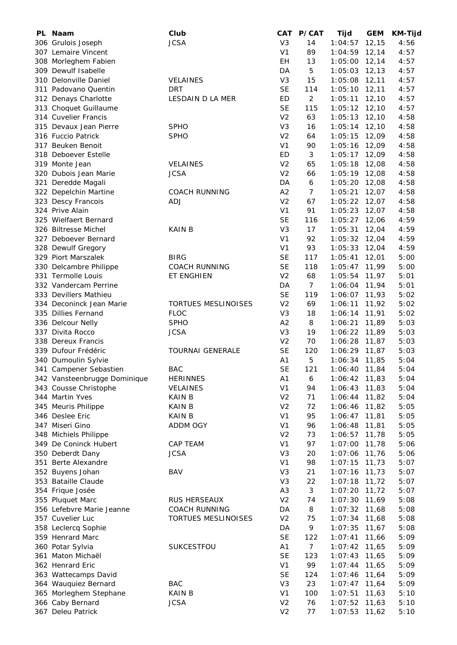| PL Naam                                       | Club                    | CAT            | <b>P/CAT</b>   | Tijd            | <b>GEM</b> | <b>KM-Tijd</b> |
|-----------------------------------------------|-------------------------|----------------|----------------|-----------------|------------|----------------|
| 306 Grulois Joseph                            | <b>JCSA</b>             | V <sub>3</sub> | 14             | 1:04:57         | 12, 15     | 4:56           |
| 307 Lemaire Vincent                           |                         | V <sub>1</sub> | 89             | 1:04:59         | 12,14      | 4:57           |
| 308 Morleghem Fabien                          |                         | EH             | 13             | 1:05:00         | 12,14      | 4:57           |
| 309 Dewulf Isabelle                           |                         | DA             | 5              | 1:05:03         | 12, 13     | 4:57           |
| 310 Delonville Daniel                         | <b>VELAINES</b>         | V <sub>3</sub> | 15             | 1:05:08         | 12,11      | 4:57           |
| 311 Padovano Quentin                          | <b>DRT</b>              | <b>SE</b>      | 114            | 1:05:10         | 12, 11     | 4:57           |
| 312 Denays Charlotte                          | LESDAIN D LA MER        | ED             | $\overline{2}$ | 1:05:11         | 12,10      | 4:57           |
| 313 Choquet Guillaume                         |                         | <b>SE</b>      | 115            | 1:05:12         | 12,10      | 4:57           |
| 314 Cuvelier Francis                          |                         | V <sub>2</sub> | 63             | 1:05:13         | 12,10      | 4:58           |
| 315 Devaux Jean Pierre                        | <b>SPHO</b>             | V <sub>3</sub> | 16             | $1:05:14$ 12,10 |            | 4:58           |
| 316 Fuccio Patrick                            | <b>SPHO</b>             | V <sub>2</sub> | 64             | 1:05:15         | 12,09      | 4:58           |
| 317 Beuken Benoit                             |                         | V <sub>1</sub> | 90             | 1:05:16         | 12,09      | 4:58           |
| 318 Deboever Estelle                          |                         | ED             | 3              | 1:05:17         | 12,09      | 4:58           |
| 319 Monte Jean                                | <b>VELAINES</b>         | V <sub>2</sub> | 65             | 1:05:18 12,08   |            | 4:58           |
| 320 Dubois Jean Marie                         | <b>JCSA</b>             | V <sub>2</sub> | 66             | 1:05:19 12,08   |            | 4:58           |
| 321 Deredde Magali                            |                         | DA             | 6              | 1:05:20         | 12,08      | 4:58           |
| 322 Depelchin Martine                         | <b>COACH RUNNING</b>    | A2             | $\overline{7}$ | 1:05:21         | 12,07      | 4:58           |
| 323 Descy Francois                            | <b>ADJ</b>              | V <sub>2</sub> | 67             | $1:05:22$ 12,07 |            | 4:58           |
| 324 Prive Alain                               |                         | V <sub>1</sub> | 91             | 1:05:23         | 12,07      | 4:58           |
| 325 Wielfaert Bernard                         |                         | <b>SE</b>      | 116            | 1:05:27         | 12,06      | 4:59           |
| 326 Biltresse Michel                          | <b>KAIN B</b>           | V <sub>3</sub> | 17             | 1:05:31         | 12,04      | 4:59           |
| 327 Deboever Bernard                          |                         | V <sub>1</sub> | 92             | $1:05:32$ 12,04 |            | 4:59           |
| 328 Dewulf Gregory                            |                         | V <sub>1</sub> | 93             | $1:05:33$ 12,04 |            | 4:59           |
| 329 Piort Marszalek                           | <b>BIRG</b>             | <b>SE</b>      | 117            | $1:05:41$ 12,01 |            | 5:00           |
| 330 Delcambre Philippe                        | <b>COACH RUNNING</b>    | <b>SE</b>      | 118            | $1:05:47$ 11,99 |            | 5:00           |
| 331 Termolle Louis                            | ET ENGHIEN              | V <sub>2</sub> | 68             | 1:05:54 11,97   |            | 5:01           |
| 332 Vandercam Perrine                         |                         | DA             | $\overline{7}$ | 1:06:04         | 11,94      | 5:01           |
| 333 Devillers Mathieu                         |                         | <b>SE</b>      | 119            | 1:06:07 11,93   |            | 5:02           |
| 334 Deconinck Jean Marie                      | TORTUES MESLINOISES     | V <sub>2</sub> | 69             | 1:06:11         | 11,92      | 5:02           |
| 335 Dillies Fernand                           | <b>FLOC</b>             | V <sub>3</sub> | 18             | 1:06:14         | 11,91      | 5:02           |
| 336 Delcour Nelly                             | <b>SPHO</b>             | A2             | 8              | 1:06:21         | 11,89      | 5:03           |
| 337 Divita Rocco                              | <b>JCSA</b>             | V <sub>3</sub> | 19             | 1:06:22         | 11,89      | 5:03           |
| 338 Dereux Francis                            |                         | V <sub>2</sub> | 70             | 1:06:28         | 11,87      | 5:03           |
| 339 Dufour Frédéric                           | <b>TOURNAI GENERALE</b> | <b>SE</b>      | 120            | 1:06:29         | 11,87      | 5:03           |
| 340 Dumoulin Sylvie                           |                         | A1             | 5              | 1:06:34         | 11,85      | 5:04           |
| 341 Campener Sebastien                        | <b>BAC</b>              | <b>SE</b>      | 121            | 1:06:40         | 11,84      | 5:04           |
| 342 Vansteenbrugge Dominique                  | <b>HERINNES</b>         | A <sub>1</sub> | 6              | 1:06:42 11,83   |            | 5:04           |
| 343 Cousse Christophe                         | <b>VELAINES</b>         | V <sub>1</sub> | 94             | 1:06:43         | 11,83      | 5:04           |
| 344 Martin Yves                               | KAIN B                  | V <sub>2</sub> | 71             | 1:06:44         | 11,82      | 5:04           |
| 345 Meuris Philippe                           | KAIN B                  | V <sub>2</sub> | 72             | 1:06:46         | 11,82      | 5:05           |
| 346 Deslee Eric                               | <b>KAIN B</b>           | V <sub>1</sub> | 95             | 1:06:47         | 11,81      | 5:05           |
| 347 Miseri Gino                               | ADDM OGY                | V <sub>1</sub> | 96             | 1:06:48         | 11,81      | 5:05           |
| 348 Michiels Philippe                         |                         | V <sub>2</sub> | 73             | 1:06:57         | 11,78      | 5:05           |
| 349 De Coninck Hubert                         | CAP TEAM                | V <sub>1</sub> | 97             | 1:07:00         | 11,78      | 5:06           |
| 350 Deberdt Dany                              | <b>JCSA</b>             | V <sub>3</sub> | 20             | 1:07:06         | 11,76      | 5:06           |
| 351 Berte Alexandre                           |                         | V <sub>1</sub> | 98             | 1:07:15         | 11,73      | 5:07           |
| 352 Buyens Johan                              | BAV                     | V <sub>3</sub> | 21             | 1:07:16         | 11,73      | 5:07           |
| 353 Bataille Claude                           |                         | V <sub>3</sub> | 22             | 1:07:18         | 11,72      | 5:07           |
| 354 Frique Josée                              |                         | A <sub>3</sub> | $\sqrt{3}$     | 1:07:20         | 11,72      | 5:07           |
|                                               | RUS HERSEAUX            | V <sub>2</sub> | 74             |                 |            | 5:08           |
| 355 Pluquet Marc<br>356 Lefebvre Marie Jeanne |                         | DA             | 8              | 1:07:30         | 11,69      |                |
|                                               | <b>COACH RUNNING</b>    |                |                | 1:07:32 11,68   |            | 5:08           |
| 357 Cuvelier Luc                              | TORTUES MESLINOISES     | V <sub>2</sub> | 75             | 1:07:34         | 11,68      | 5:08           |
| 358 Leclercq Sophie                           |                         | DA             | 9              | 1:07:35         | 11,67      | 5:08           |
| 359 Henrard Marc                              |                         | <b>SE</b>      | 122            | 1:07:41         | 11,66      | 5:09           |
| 360 Potar Sylvia                              | SUKCESTFOU              | A1             | $\overline{7}$ | $1:07:42$ 11,65 |            | 5:09           |
| 361 Maton Michaël                             |                         | <b>SE</b>      | 123            | 1:07:43         | 11,65      | 5:09           |
| 362 Henrard Eric                              |                         | V <sub>1</sub> | 99             | 1:07:44         | 11,65      | 5:09           |
| 363 Wattecamps David                          |                         | <b>SE</b>      | 124            | 1:07:46         | 11,64      | 5:09           |
| 364 Wauquiez Bernard                          | <b>BAC</b>              | V <sub>3</sub> | 23             | $1:07:47$ 11,64 |            | 5:09           |
| 365 Morleghem Stephane                        | <b>KAIN B</b>           | V <sub>1</sub> | 100            | 1:07:51         | 11,63      | 5:10           |
| 366 Caby Bernard                              | <b>JCSA</b>             | V <sub>2</sub> | 76             | $1:07:52$ 11,63 |            | 5:10           |
| 367 Deleu Patrick                             |                         | V <sub>2</sub> | 77             | 1:07:53 11,62   |            | 5:10           |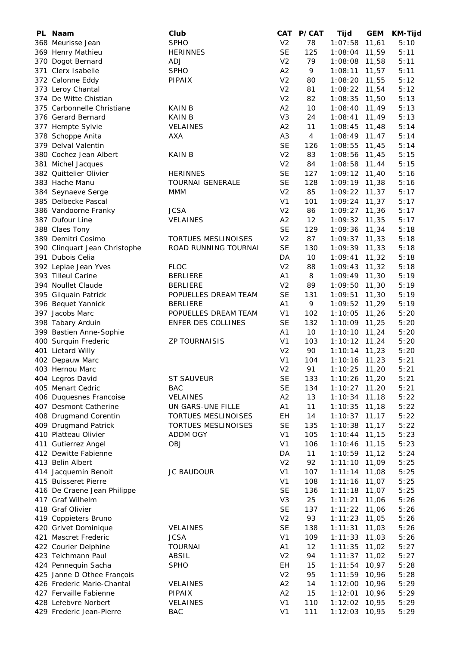| PL Naam                                        | Club                                     | CAT            | <b>P/CAT</b> | Tijd            | <b>GEM</b> | <b>KM-Tijd</b> |
|------------------------------------------------|------------------------------------------|----------------|--------------|-----------------|------------|----------------|
| 368 Meurisse Jean                              | <b>SPHO</b>                              | V <sub>2</sub> | 78           | 1:07:58         | 11,61      | 5:10           |
| 369 Henry Mathieu                              | <b>HERINNES</b>                          | <b>SE</b>      | 125          | 1:08:04         | 11,59      | 5:11           |
| 370 Dogot Bernard                              | <b>ADJ</b>                               | V <sub>2</sub> | 79           | 1:08:08         | 11,58      | 5:11           |
| 371 Clerx Isabelle                             | <b>SPHO</b>                              | A2             | 9            | 1:08:11         | 11,57      | 5:11           |
| 372 Calonne Eddy                               | PIPAIX                                   | V <sub>2</sub> | 80           | 1:08:20         | 11,55      | 5:12           |
| 373 Leroy Chantal                              |                                          | V <sub>2</sub> | 81           | 1:08:22         | 11,54      | 5:12           |
| 374 De Witte Chistian                          |                                          | V <sub>2</sub> | 82           | 1:08:35         | 11,50      | 5:13           |
| 375 Carbonnelle Christiane                     | <b>KAIN B</b>                            | A2             | 10           | 1:08:40         | 11,49      | 5:13           |
| 376 Gerard Bernard                             | <b>KAIN B</b>                            | V <sub>3</sub> | 24           | 1:08:41         | 11,49      | 5:13           |
| 377 Hempte Sylvie                              | <b>VELAINES</b>                          | A <sub>2</sub> | 11           | 1:08:45         | 11,48      | 5:14           |
| 378 Schoppe Anita                              | AXA                                      | A <sub>3</sub> | 4            | 1:08:49         | 11,47      | 5:14           |
| 379 Delval Valentin                            |                                          | <b>SE</b>      | 126          | 1:08:55         | 11,45      | 5:14           |
| 380 Cochez Jean Albert                         | KAIN B                                   | V <sub>2</sub> | 83           | 1:08:56         | 11,45      | 5:15           |
| 381 Michel Jacques                             |                                          | V <sub>2</sub> | 84           | 1:08:58         | 11,44      | 5:15           |
| 382 Quittelier Olivier                         | <b>HERINNES</b>                          | <b>SE</b>      | 127          | $1:09:12$ 11,40 |            | 5:16           |
| 383 Hache Manu                                 | <b>TOURNAI GENERALE</b>                  | <b>SE</b>      | 128          | 1:09:19 11,38   |            | 5:16           |
| 384 Seynaeve Serge                             | <b>MMM</b>                               | V <sub>2</sub> | 85           | $1:09:22$ 11,37 |            | 5:17           |
| 385 Delbecke Pascal                            |                                          | V <sub>1</sub> | 101          | 1:09:24         | 11,37      | 5:17           |
| 386 Vandoorne Franky                           | <b>JCSA</b>                              | V <sub>2</sub> | 86           | 1:09:27 11,36   |            | 5:17           |
| 387 Dufour Line                                | <b>VELAINES</b>                          | A2             | 12           | 1:09:32 11,35   |            | 5:17           |
| 388 Claes Tony                                 |                                          | <b>SE</b>      | 129          | 1:09:36 11,34   |            | 5:18           |
| 389 Demitri Cosimo                             | <b>TORTUES MESLINOISES</b>               | V <sub>2</sub> | 87           | $1:09:37$ 11,33 |            | 5:18           |
| 390 Clinquart Jean Christophe                  | ROAD RUNNING TOURNAI                     | <b>SE</b>      | 130          | $1:09:39$ 11,33 |            | 5:18           |
| 391 Dubois Celia                               |                                          | DA             | 10           | 1:09:41         | 11,32      | 5:18           |
| 392 Leplae Jean Yves                           | <b>FLOC</b>                              | V <sub>2</sub> | 88           | 1:09:43         | 11,32      | 5:18           |
| 393 Tilleul Carine                             | <b>BERLIERE</b>                          | A1             | 8            | 1:09:49 11,30   |            | 5:19           |
| 394 Noullet Claude                             | <b>BERLIERE</b>                          | V <sub>2</sub> | 89           | 1:09:50         | 11,30      | 5:19           |
| 395 Gilquain Patrick                           | POPUELLES DREAM TEAM                     | <b>SE</b>      | 131          | 1:09:51         | 11,30      | 5:19           |
| 396 Bequet Yannick                             | <b>BERLIERE</b>                          | A1             | 9            | 1:09:52         | 11,29      | 5:19           |
| 397 Jacobs Marc                                | POPUELLES DREAM TEAM                     | V <sub>1</sub> | 102          | 1:10:05         | 11,26      | 5:20           |
| 398 Tabary Arduin                              | ENFER DES COLLINES                       | <b>SE</b>      | 132          | 1:10:09 11,25   |            | 5:20           |
| 399 Bastien Anne-Sophie                        |                                          | A <sub>1</sub> | 10           | 1:10:10         | 11,24      | 5:20           |
| 400 Surquin Frederic                           | <b>ZP TOURNAISIS</b>                     | V <sub>1</sub> | 103          | $1:10:12$ 11,24 |            | 5:20           |
| 401 Lietard Willy                              |                                          | V <sub>2</sub> | 90           | 1:10:14         | 11,23      | 5:20           |
| 402 Depauw Marc                                |                                          | V <sub>1</sub> | 104          | 1:10:16         | 11,23      | 5:21           |
| 403 Hernou Marc                                |                                          | V <sub>2</sub> | 91           | 1:10:25         | 11,20      | 5:21           |
| 404 Legros David                               | <b>ST SAUVEUR</b>                        | <b>SE</b>      | 133          | 1:10:26         | 11,20      | 5:21           |
| 405 Menart Cedric                              | <b>BAC</b>                               | <b>SE</b>      | 134          | 1:10:27         | 11,20      | 5:21           |
| 406 Duquesnes Francoise                        | <b>VELAINES</b>                          | A2             | 13           | 1:10:34         | 11,18      | 5:22           |
|                                                |                                          | A1             | 11           | 1:10:35         | 11,18      | 5:22           |
| 407 Desmont Catherine<br>408 Drugmand Corentin | UN GARS-UNE FILLE<br>TORTUES MESLINOISES | EΗ             | 14           |                 | 11,17      | 5:22           |
|                                                |                                          |                |              | 1:10:37         |            |                |
| 409 Drugmand Patrick                           | TORTUES MESLINOISES                      | <b>SE</b>      | 135          | 1:10:38         | 11,17      | 5:22           |
| 410 Platteau Olivier                           | <b>ADDM OGY</b>                          | V <sub>1</sub> | 105          | 1:10:44         | 11,15      | 5:23           |
| 411 Gutierrez Angel                            | <b>OBJ</b>                               | V <sub>1</sub> | 106          | 1:10:46         | 11,15      | 5:23           |
| 412 Dewitte Fabienne                           |                                          | DA             | 11           | 1:10:59         | 11,12      | 5:24           |
| 413 Belin Albert                               |                                          | V <sub>2</sub> | 92           | 1:11:10         | 11,09      | 5:25           |
| 414 Jacquemin Benoit                           | JC BAUDOUR                               | V <sub>1</sub> | 107          | 1:11:14         | 11,08      | 5:25           |
| 415 Buisseret Pierre                           |                                          | V <sub>1</sub> | 108          | 1:11:16         | 11,07      | 5:25           |
| 416 De Craene Jean Philippe                    |                                          | <b>SE</b>      | 136          | 1:11:18         | 11,07      | 5:25           |
| 417 Graf Wilhelm                               |                                          | V <sub>3</sub> | 25           | 1:11:21         | 11,06      | 5:26           |
| 418 Graf Olivier                               |                                          | <b>SE</b>      | 137          | 1:11:22         | 11,06      | 5:26           |
| 419 Coppieters Bruno                           |                                          | V <sub>2</sub> | 93           | 1:11:23         | 11,05      | 5:26           |
| 420 Grivet Dominique                           | <b>VELAINES</b>                          | <b>SE</b>      | 138          | 1:11:31         | 11,03      | 5:26           |
| 421 Mascret Frederic                           | <b>JCSA</b>                              | V <sub>1</sub> | 109          | 1:11:33         | 11,03      | 5:26           |
| 422 Courier Delphine                           | <b>TOURNAI</b>                           | A <sub>1</sub> | 12           | 1:11:35         | 11,02      | 5:27           |
| 423 Teichmann Paul                             | ABSIL                                    | V <sub>2</sub> | 94           | 1:11:37         | 11,02      | 5:27           |
| 424 Pennequin Sacha                            | <b>SPHO</b>                              | EH             | 15           | 1:11:54         | 10,97      | 5:28           |
| 425 Janne D Othee François                     |                                          | V <sub>2</sub> | 95           | 1:11:59         | 10,96      | 5:28           |
| 426 Frederic Marie-Chantal                     | <b>VELAINES</b>                          | A2             | 14           | 1:12:00         | 10,96      | 5:29           |
| 427 Fervaille Fabienne                         | PIPAIX                                   | A2             | 15           | 1:12:01         | 10,96      | 5:29           |
| 428 Lefebvre Norbert                           | <b>VELAINES</b>                          | V <sub>1</sub> | 110          | 1:12:02         | 10,95      | 5:29           |
| 429 Frederic Jean-Pierre                       | <b>BAC</b>                               | V <sub>1</sub> | 111          | 1:12:03 10,95   |            | 5:29           |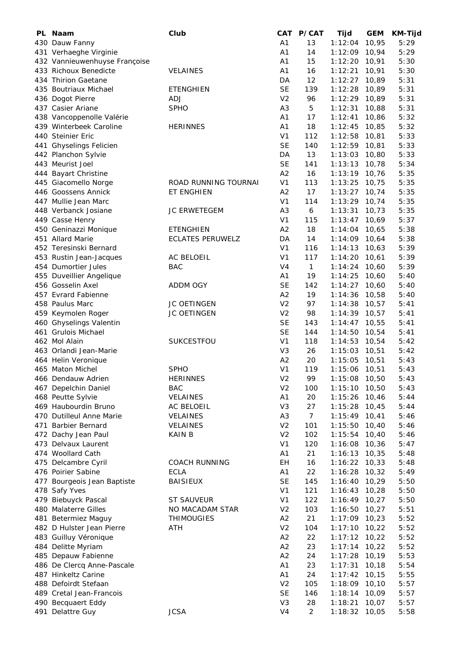| PL Naam                       | Club                    | CAT            | <b>P/CAT</b>   | <b>Tijd</b> | <b>GEM</b> | <b>KM-Tijd</b> |
|-------------------------------|-------------------------|----------------|----------------|-------------|------------|----------------|
| 430 Dauw Fanny                |                         | A <sub>1</sub> | 13             | 1:12:04     | 10,95      | 5:29           |
| 431 Verhaeghe Virginie        |                         | A <sub>1</sub> | 14             | 1:12:09     | 10,94      | 5:29           |
| 432 Vannieuwenhuyse Françoise |                         | A <sub>1</sub> | 15             | 1:12:20     | 10,91      | 5:30           |
| 433 Richoux Benedicte         | <b>VELAINES</b>         | A <sub>1</sub> | 16             | 1:12:21     | 10,91      | 5:30           |
| 434 Thirion Gaetane           |                         | DA             | 12             | 1:12:27     | 10,89      | 5:31           |
| 435 Boutriaux Michael         | <b>ETENGHIEN</b>        | <b>SE</b>      | 139            | 1:12:28     | 10,89      | 5:31           |
| 436 Dogot Pierre              | ADJ                     | V <sub>2</sub> | 96             | 1:12:29     | 10,89      | 5:31           |
| 437 Casier Ariane             | <b>SPHO</b>             | A <sub>3</sub> | 5              | 1:12:31     | 10,88      | 5:31           |
| 438 Vancoppenolle Valérie     |                         | A <sub>1</sub> | 17             | 1:12:41     | 10,86      | 5:32           |
| 439 Winterbeek Caroline       | <b>HERINNES</b>         | A <sub>1</sub> | 18             | 1:12:45     | 10,85      | 5:32           |
| 440 Steinier Eric             |                         | V <sub>1</sub> | 112            | 1:12:58     | 10,81      | 5:33           |
| 441 Ghyselings Felicien       |                         | <b>SE</b>      | 140            | 1:12:59     | 10,81      | 5:33           |
| 442 Planchon Sylvie           |                         | DA             | 13             | 1:13:03     | 10,80      | 5:33           |
| 443 Meurist Joel              |                         | <b>SE</b>      | 141            | 1:13:13     | 10,78      | 5:34           |
| 444 Bayart Christine          |                         | A2             | 16             | 1:13:19     | 10,76      | 5:35           |
| 445 Giacomello Norge          | ROAD RUNNING TOURNAI    | V <sub>1</sub> | 113            | 1:13:25     | 10,75      | 5:35           |
| 446 Goossens Annick           | ET ENGHIEN              | A <sub>2</sub> | 17             | 1:13:27     | 10,74      | 5:35           |
| 447 Mullie Jean Marc          |                         | V <sub>1</sub> | 114            | 1:13:29     | 10,74      | 5:35           |
| 448 Verbanck Josiane          | JC ERWETEGEM            | A <sub>3</sub> | 6              | 1:13:31     | 10,73      | 5:35           |
| 449 Casse Henry               |                         | V <sub>1</sub> | 115            | 1:13:47     | 10,69      | 5:37           |
| 450 Geninazzi Monique         | <b>ETENGHIEN</b>        | A2             | 18             | 1:14:04     | 10,65      | 5:38           |
| 451 Allard Marie              | <b>ECLATES PERUWELZ</b> | DA             | 14             | 1:14:09     | 10,64      | 5:38           |
| 452 Teresinski Bernard        |                         | V <sub>1</sub> | 116            | 1:14:13     | 10,63      | 5:39           |
| 453 Rustin Jean-Jacques       | AC BELOEIL              | V <sub>1</sub> | 117            | 1:14:20     | 10,61      | 5:39           |
| 454 Dumortier Jules           | <b>BAC</b>              | V4             | $\mathbf{1}$   | 1:14:24     | 10,60      | 5:39           |
| 455 Duveillier Angelique      |                         | A1             | 19             | 1:14:25     | 10,60      | 5:40           |
| 456 Gosselin Axel             | ADDM OGY                | <b>SE</b>      | 142            | 1:14:27     | 10,60      | 5:40           |
| 457 Evrard Fabienne           |                         | A2             | 19             | 1:14:36     | 10,58      | 5:40           |
| 458 Paulus Marc               | JC OETINGEN             | V <sub>2</sub> | 97             | 1:14:38     | 10,57      | 5:41           |
| 459 Keymolen Roger            | JC OETINGEN             | V <sub>2</sub> | 98             | 1:14:39     | 10,57      | 5:41           |
| 460 Ghyselings Valentin       |                         | <b>SE</b>      | 143            | 1:14:47     | 10,55      | 5:41           |
| 461 Grulois Michael           |                         | <b>SE</b>      | 144            | 1:14:50     | 10,54      | 5:41           |
| 462 Mol Alain                 | <b>SUKCESTFOU</b>       | V <sub>1</sub> | 118            | 1:14:53     | 10,54      | 5:42           |
| 463 Orlandi Jean-Marie        |                         | V <sub>3</sub> | 26             | 1:15:03     | 10,51      | 5:42           |
| 464 Helin Veronique           |                         | A2             | 20             | 1:15:05     | 10,51      | 5:43           |
| 465 Maton Michel              | <b>SPHO</b>             | V <sub>1</sub> | 119            | 1:15:06     | 10,51      | 5:43           |
| 466 Dendauw Adrien            | <b>HERINNES</b>         | V <sub>2</sub> | 99             | 1:15:08     | 10,50      | 5:43           |
| 467 Depelchin Daniel          | <b>BAC</b>              | V <sub>2</sub> | 100            | 1:15:10     | 10,50      | 5:43           |
| 468 Peutte Sylvie             | VELAINES                | A1             | 20             | 1:15:26     | 10,46      | 5:44           |
| 469 Haubourdin Bruno          | AC BELOEIL              | V <sub>3</sub> | 27             | 1:15:28     | 10,45      | 5:44           |
| 470 Dutilleul Anne Marie      | <b>VELAINES</b>         | A <sub>3</sub> | $\overline{7}$ | 1:15:49     | 10,41      | 5:46           |
| 471 Barbier Bernard           | <b>VELAINES</b>         | V <sub>2</sub> | 101            | 1:15:50     | 10,40      | 5:46           |
| 472 Dachy Jean Paul           | KAIN B                  | V <sub>2</sub> | 102            | 1:15:54     | 10,40      | 5:46           |
| 473 Delvaux Laurent           |                         | V <sub>1</sub> | 120            | 1:16:08     | 10,36      | 5:47           |
| 474 Woollard Cath             |                         | A1             | 21             | 1:16:13     | 10,35      | 5:48           |
| 475 Delcambre Cyril           | <b>COACH RUNNING</b>    | EH             | 16             | 1:16:22     | 10,33      | 5:48           |
| 476 Poirier Sabine            | <b>ECLA</b>             | A1             | 22             | 1:16:28     | 10,32      | 5:49           |
| 477 Bourgeois Jean Baptiste   | <b>BAISIEUX</b>         | <b>SE</b>      | 145            | 1:16:40     | 10,29      | 5:50           |
| 478 Safy Yves                 |                         | V <sub>1</sub> | 121            | 1:16:43     | 10,28      | 5:50           |
| 479 Biebuyck Pascal           | <b>ST SAUVEUR</b>       | V <sub>1</sub> | 122            | 1:16:49     | 10,27      | 5:50           |
| 480 Malaterre Gilles          | NO MACADAM STAR         | V <sub>2</sub> | 103            | 1:16:50     | 10,27      | 5:51           |
| 481 Betermiez Maguy           | <b>THIMOUGIES</b>       | A2             | 21             | 1:17:09     | 10,23      | 5:52           |
| 482 D Hulster Jean Pierre     | <b>ATH</b>              | V <sub>2</sub> | 104            | 1:17:10     | 10,22      | 5:52           |
| 483 Guilluy Véronique         |                         | A2             | 22             | 1:17:12     | 10,22      | 5:52           |
| 484 Delitte Myriam            |                         | A2             | 23             | 1:17:14     | 10,22      | 5:52           |
| 485 Depauw Fabienne           |                         | A2             | 24             | 1:17:28     | 10, 19     | 5:53           |
| 486 De Clercq Anne-Pascale    |                         | A <sub>1</sub> | 23             | 1:17:31     | 10, 18     | 5:54           |
| 487 Hinkeltz Carine           |                         | A <sub>1</sub> | 24             | 1:17:42     | 10,15      | 5:55           |
| 488 Defoirdt Stefaan          |                         | V <sub>2</sub> | 105            | 1:18:09     | 10, 10     | 5:57           |
| 489 Cretal Jean-Francois      |                         | <b>SE</b>      | 146            | 1:18:14     | 10,09      | 5:57           |
| 490 Becquaert Eddy            |                         | V <sub>3</sub> | 28             | 1:18:21     | 10,07      | 5:57           |
| 491 Delattre Guy              | <b>JCSA</b>             | V <sub>4</sub> | $\overline{2}$ | 1:18:32     | 10,05      | 5:58           |
|                               |                         |                |                |             |            |                |